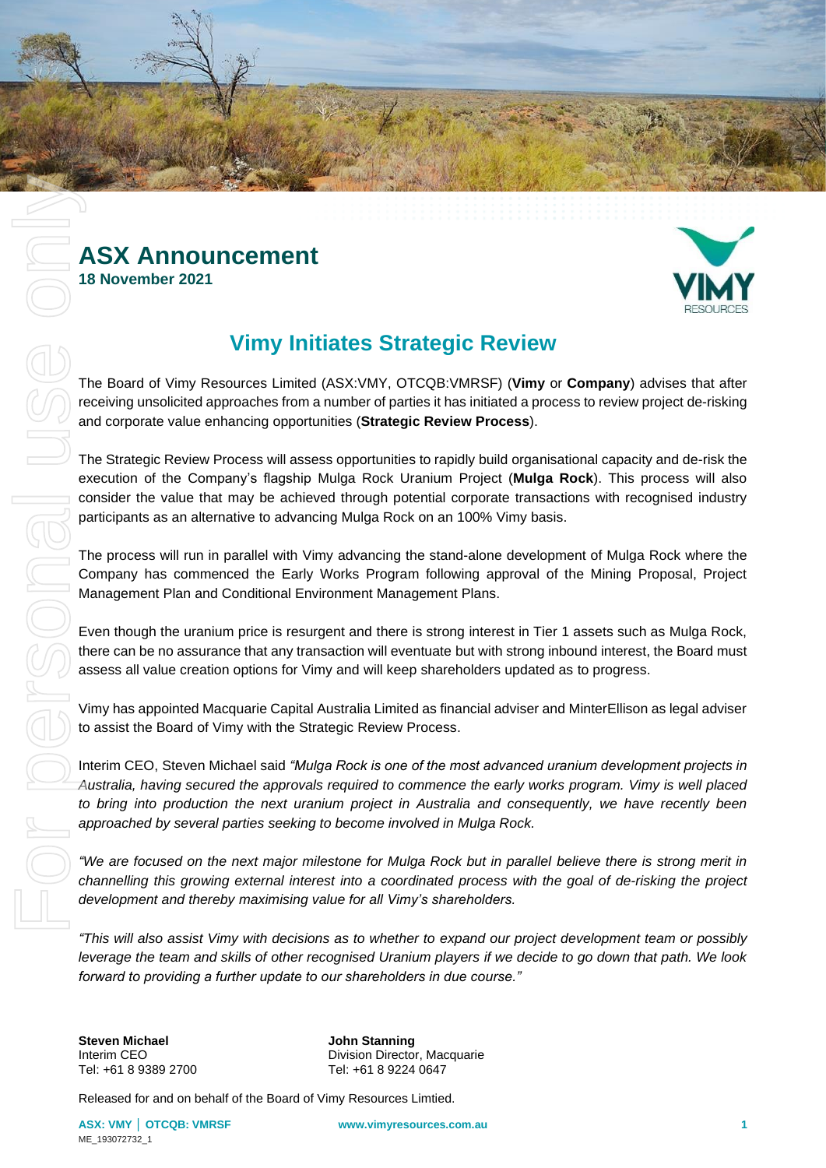

## **ASX Announcement 18 November 2021**

# **Vimy Initiates Strategic Review**

The Board of Vimy Resources Limited (ASX:VMY, OTCQB:VMRSF) (**Vimy** or **Company**) advises that after receiving unsolicited approaches from a number of parties it has initiated a process to review project de-risking and corporate value enhancing opportunities (**Strategic Review Process**).

The Strategic Review Process will assess opportunities to rapidly build organisational capacity and de-risk the execution of the Company's flagship Mulga Rock Uranium Project (**Mulga Rock**). This process will also consider the value that may be achieved through potential corporate transactions with recognised industry participants as an alternative to advancing Mulga Rock on an 100% Vimy basis.

The process will run in parallel with Vimy advancing the stand-alone development of Mulga Rock where the Company has commenced the Early Works Program following approval of the Mining Proposal, Project Management Plan and Conditional Environment Management Plans.

Even though the uranium price is resurgent and there is strong interest in Tier 1 assets such as Mulga Rock, there can be no assurance that any transaction will eventuate but with strong inbound interest, the Board must assess all value creation options for Vimy and will keep shareholders updated as to progress.

Vimy has appointed Macquarie Capital Australia Limited as financial adviser and MinterEllison as legal adviser to assist the Board of Vimy with the Strategic Review Process.

Interim CEO, Steven Michael said *"Mulga Rock is one of the most advanced uranium development projects in Australia, having secured the approvals required to commence the early works program. Vimy is well placed to bring into production the next uranium project in Australia and consequently, we have recently been approached by several parties seeking to become involved in Mulga Rock.*

*"We are focused on the next major milestone for Mulga Rock but in parallel believe there is strong merit in channelling this growing external interest into a coordinated process with the goal of de-risking the project development and thereby maximising value for all Vimy's shareholders.*

*"This will also assist Vimy with decisions as to whether to expand our project development team or possibly leverage the team and skills of other recognised Uranium players if we decide to go down that path. We look forward to providing a further update to our shareholders in due course."*

**Steven Michael John Stanning**

Interim CEO Division Director, Macquarie<br>
Tel: +61 8 9389 2700 Tel: +61 8 9224 0647 Tel: +61 8 9224 0647